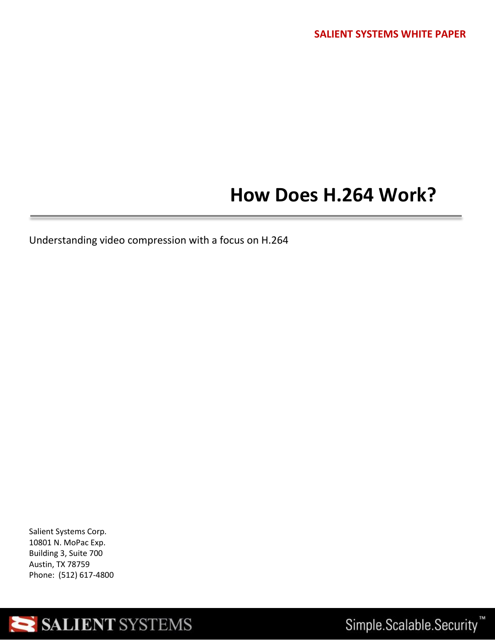## **How Does H.264 Work?**

Understanding video compression with a focus on H.264

Salient Systems Corp. 10801 N. MoPac Exp. Building 3, Suite 700 Austin, TX 78759 Phone: (512) 617-4800



Simple.Scalable.Security<sup>™</sup>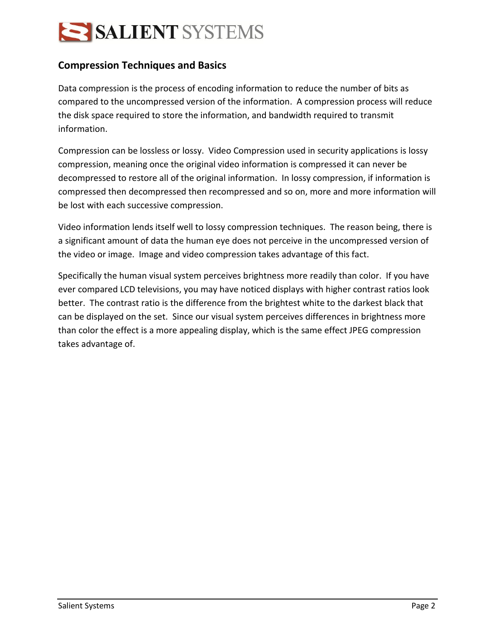# SALIENT SYSTEMS

### **Compression Techniques and Basics**

Data compression is the process of encoding information to reduce the number of bits as compared to the uncompressed version of the information. A compression process will reduce the disk space required to store the information, and bandwidth required to transmit information.

Compression can be lossless or lossy. Video Compression used in security applications is lossy compression, meaning once the original video information is compressed it can never be decompressed to restore all of the original information. In lossy compression, if information is compressed then decompressed then recompressed and so on, more and more information will be lost with each successive compression.

Video information lends itself well to lossy compression techniques. The reason being, there is a significant amount of data the human eye does not perceive in the uncompressed version of the video or image. Image and video compression takes advantage of this fact.

Specifically the human visual system perceives brightness more readily than color. If you have ever compared LCD televisions, you may have noticed displays with higher contrast ratios look better. The contrast ratio is the difference from the brightest white to the darkest black that can be displayed on the set. Since our visual system perceives differences in brightness more than color the effect is a more appealing display, which is the same effect JPEG compression takes advantage of.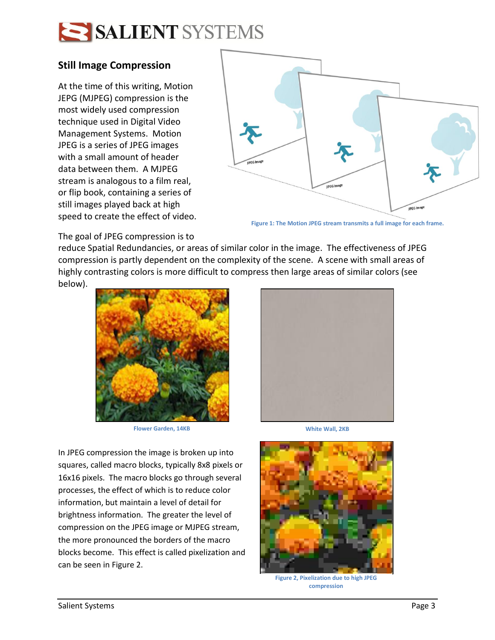

#### **Still Image Compression**

At the time of this writing, Motion JEPG (MJPEG) compression is the most widely used compression technique used in Digital Video Management Systems. Motion JPEG is a series of JPEG images with a small amount of header data between them. A MJPEG stream is analogous to a film real, or flip book, containing a series of still images played back at high speed to create the effect of video.



**Figure 1: The Motion JPEG stream transmits a full image for each frame.**

The goal of JPEG compression is to

reduce Spatial Redundancies, or areas of similar color in the image. The effectiveness of JPEG compression is partly dependent on the complexity of the scene. A scene with small areas of highly contrasting colors is more difficult to compress then large areas of similar colors (see below).



**Flower Garden, 14KB White Wall, 2KB** 

In JPEG compression the image is broken up into squares, called macro blocks, typically 8x8 pixels or 16x16 pixels. The macro blocks go through several processes, the effect of which is to reduce color information, but maintain a level of detail for brightness information. The greater the level of compression on the JPEG image or MJPEG stream, the more pronounced the borders of the macro blocks become. This effect is called pixelization and can be seen in Figure 2.





**Figure 2, Pixelization due to high JPEG compression**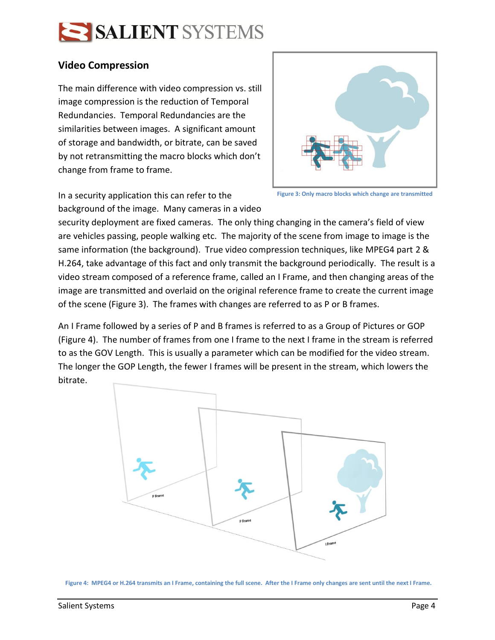

#### **Video Compression**

The main difference with video compression vs. still image compression is the reduction of Temporal Redundancies. Temporal Redundancies are the similarities between images. A significant amount of storage and bandwidth, or bitrate, can be saved by not retransmitting the macro blocks which don't change from frame to frame.



In a security application this can refer to the background of the image. Many cameras in a video

**Figure 3: Only macro blocks which change are transmitted**

security deployment are fixed cameras. The only thing changing in the camera's field of view are vehicles passing, people walking etc. The majority of the scene from image to image is the same information (the background). True video compression techniques, like MPEG4 part 2 & H.264, take advantage of this fact and only transmit the background periodically. The result is a video stream composed of a reference frame, called an I Frame, and then changing areas of the image are transmitted and overlaid on the original reference frame to create the current image of the scene (Figure 3). The frames with changes are referred to as P or B frames.

An I Frame followed by a series of P and B frames is referred to as a Group of Pictures or GOP (Figure 4). The number of frames from one I frame to the next I frame in the stream is referred to as the GOV Length. This is usually a parameter which can be modified for the video stream. The longer the GOP Length, the fewer I frames will be present in the stream, which lowers the bitrate.



**Figure 4: MPEG4 or H.264 transmits an I Frame, containing the full scene. After the I Frame only changes are sent until the next I Frame.**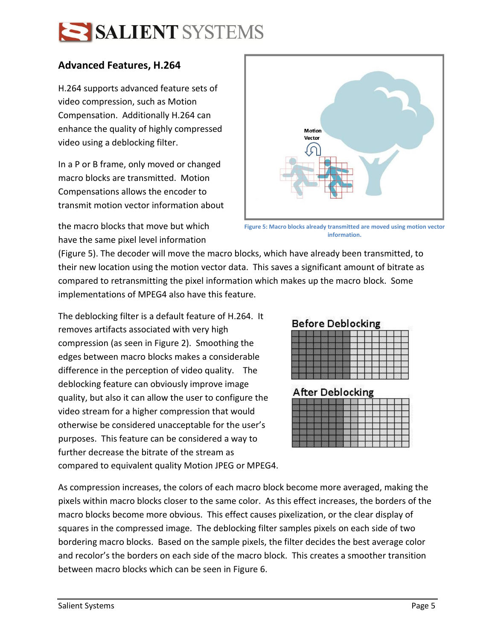# SALIENT SYSTEMS

### **Advanced Features, H.264**

H.264 supports advanced feature sets of video compression, such as Motion Compensation. Additionally H.264 can enhance the quality of highly compressed video using a deblocking filter.

In a P or B frame, only moved or changed macro blocks are transmitted. Motion Compensations allows the encoder to transmit motion vector information about



**Figure 5: Macro blocks already transmitted are moved using motion vector information.**

the macro blocks that move but which have the same pixel level information

(Figure 5). The decoder will move the macro blocks, which have already been transmitted, to their new location using the motion vector data. This saves a significant amount of bitrate as compared to retransmitting the pixel information which makes up the macro block. Some implementations of MPEG4 also have this feature.

The deblocking filter is a default feature of H.264. It removes artifacts associated with very high compression (as seen in Figure 2). Smoothing the edges between macro blocks makes a considerable difference in the perception of video quality. The deblocking feature can obviously improve image quality, but also it can allow the user to configure the video stream for a higher compression that would otherwise be considered unacceptable for the user's purposes. This feature can be considered a way to further decrease the bitrate of the stream as compared to equivalent quality Motion JPEG or MPEG4.

### **Before Deblocking**

### **After Deblocking**

As compression increases, the colors of each macro block become more averaged, making the pixels within macro blocks closer to the same color. As this effect increases, the borders of the macro blocks become more obvious. This effect causes pixelization, or the clear display of squares in the compressed image. The deblocking filter samples pixels on each side of two bordering macro blocks. Based on the sample pixels, the filter decides the best average color and recolor's the borders on each side of the macro block. This creates a smoother transition between macro blocks which can be seen in Figure 6.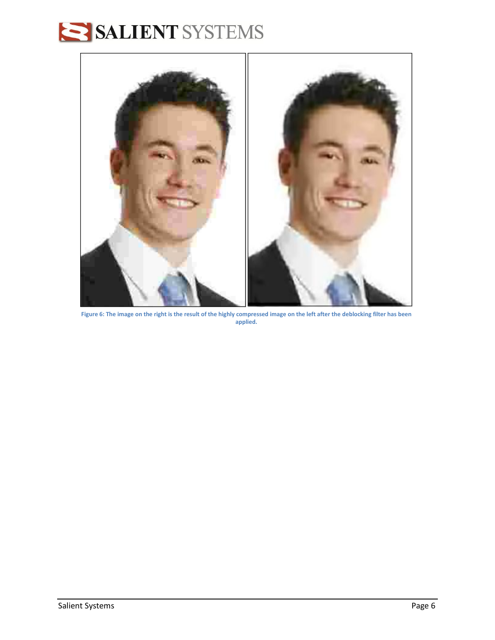# SALIENT SYSTEMS



**Figure 6: The image on the right is the result of the highly compressed image on the left after the deblocking filter has been applied.**